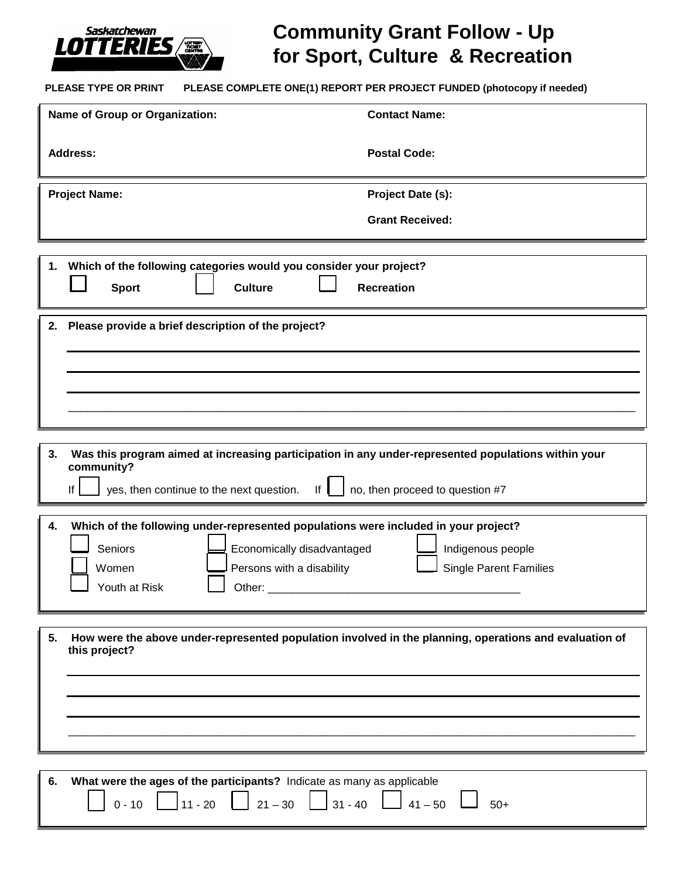

## **Community Grant Follow - Up for Sport, Culture & Recreation**

**PLEASE TYPE OR PRINT PLEASE COMPLETE ONE(1) REPORT PER PROJECT FUNDED (photocopy if needed)**

| Name of Group or Organization:                                                                                                                                                                                                     | <b>Contact Name:</b>          |
|------------------------------------------------------------------------------------------------------------------------------------------------------------------------------------------------------------------------------------|-------------------------------|
| <b>Address:</b>                                                                                                                                                                                                                    | <b>Postal Code:</b>           |
| <b>Project Name:</b>                                                                                                                                                                                                               | Project Date (s):             |
|                                                                                                                                                                                                                                    | <b>Grant Received:</b>        |
| Which of the following categories would you consider your project?<br>1.<br><b>Sport</b><br><b>Culture</b><br><b>Recreation</b>                                                                                                    |                               |
| Please provide a brief description of the project?<br>2.                                                                                                                                                                           |                               |
|                                                                                                                                                                                                                                    |                               |
|                                                                                                                                                                                                                                    |                               |
|                                                                                                                                                                                                                                    |                               |
| Was this program aimed at increasing participation in any under-represented populations within your<br>3.<br>community?<br>no, then proceed to question #7<br>yes, then continue to the next question.<br>lf<br>$\vert$ if $\vert$ |                               |
| Which of the following under-represented populations were included in your project?<br>4.                                                                                                                                          |                               |
| Seniors<br>Economically disadvantaged                                                                                                                                                                                              | Indigenous people             |
| Women<br>Persons with a disability<br>Youth at Risk<br>Other:                                                                                                                                                                      | <b>Single Parent Families</b> |
|                                                                                                                                                                                                                                    |                               |
| How were the above under-represented population involved in the planning, operations and evaluation of<br>5.<br>this project?                                                                                                      |                               |
|                                                                                                                                                                                                                                    |                               |
|                                                                                                                                                                                                                                    |                               |
|                                                                                                                                                                                                                                    |                               |
|                                                                                                                                                                                                                                    |                               |
| What were the ages of the participants? Indicate as many as applicable<br>6.<br>$11 - 20$<br>$21 - 30$<br>$31 - 40$<br>$0 - 10$                                                                                                    | $41 - 50$<br>$50+$            |